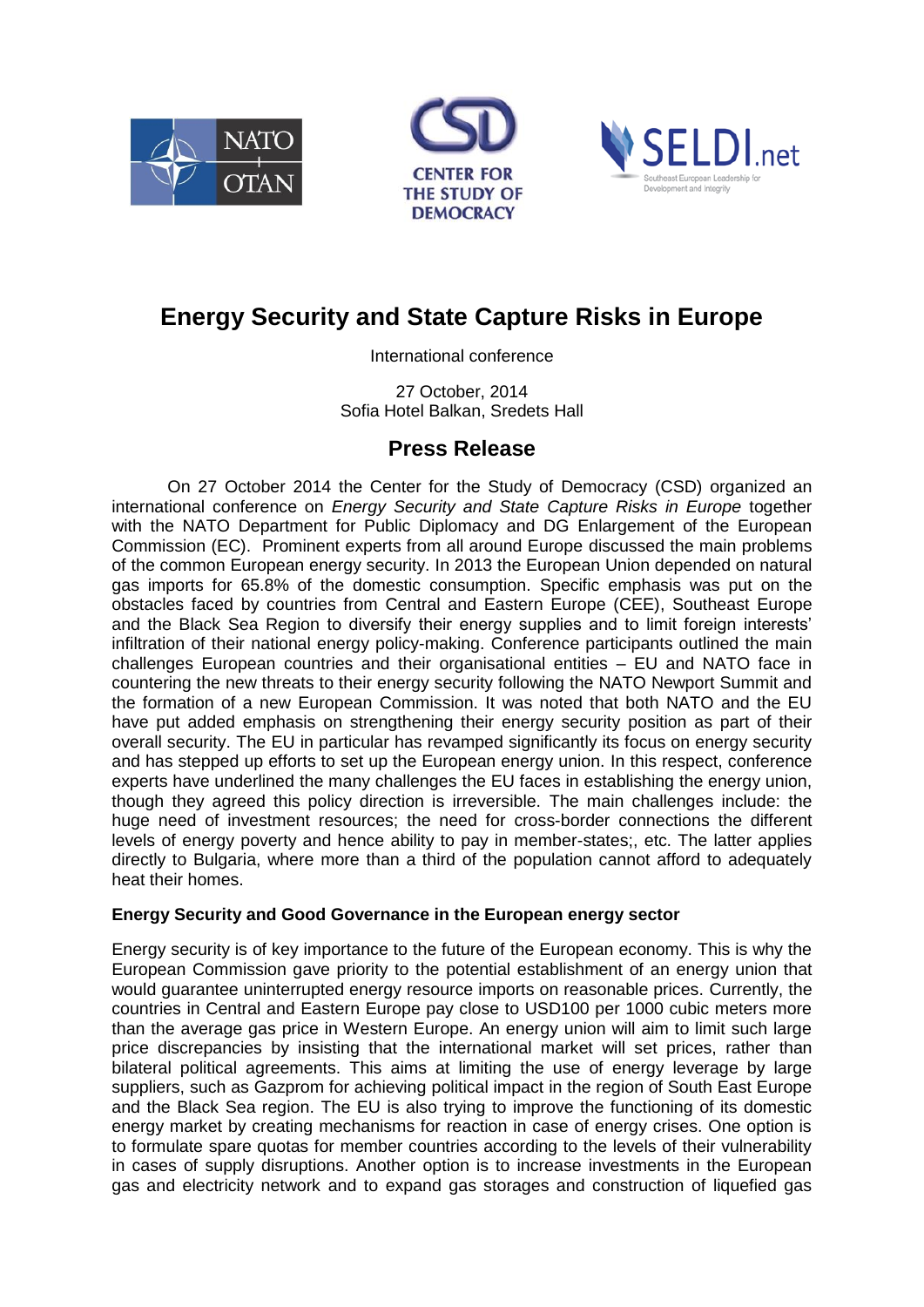





## **Energy Security and State Capture Risks in Europe**

International conference

27 October, 2014 Sofia Hotel Balkan, Sredets Hall

## **Press Release**

On 27 October 2014 the Center for the Study of Democracy (CSD) organized an international conference on *Energy Security and State Capture Risks in Europe* together with the NATO Department for Public Diplomacy and DG Enlargement of the European Commission (EC). Prominent experts from all around Europe discussed the main problems of the common European energy security. In 2013 the European Union depended on natural gas imports for 65.8% of the domestic consumption. Specific emphasis was put on the obstacles faced by countries from Central and Eastern Europe (CEE), Southeast Europe and the Black Sea Region to diversify their energy supplies and to limit foreign interests' infiltration of their national energy policy-making. Conference participants outlined the main challenges European countries and their organisational entities – EU and NATO face in countering the new threats to their energy security following the NATO Newport Summit and the formation of a new European Commission. It was noted that both NATO and the EU have put added emphasis on strengthening their energy security position as part of their overall security. The EU in particular has revamped significantly its focus on energy security and has stepped up efforts to set up the European energy union. In this respect, conference experts have underlined the many challenges the EU faces in establishing the energy union, though they agreed this policy direction is irreversible. The main challenges include: the huge need of investment resources; the need for cross-border connections the different levels of energy poverty and hence ability to pay in member-states;, etc. The latter applies directly to Bulgaria, where more than a third of the population cannot afford to adequately heat their homes.

## **Energy Security and Good Governance in the European energy sector**

Energy security is of key importance to the future of the European economy. This is why the European Commission gave priority to the potential establishment of an energy union that would guarantee uninterrupted energy resource imports on reasonable prices. Currently, the countries in Central and Eastern Europe pay close to USD100 per 1000 cubic meters more than the average gas price in Western Europe. An energy union will aim to limit such large price discrepancies by insisting that the international market will set prices, rather than bilateral political agreements. This aims at limiting the use of energy leverage by large suppliers, such as Gazprom for achieving political impact in the region of South East Europe and the Black Sea region. The EU is also trying to improve the functioning of its domestic energy market by creating mechanisms for reaction in case of energy crises. One option is to formulate spare quotas for member countries according to the levels of their vulnerability in cases of supply disruptions. Another option is to increase investments in the European gas and electricity network and to expand gas storages and construction of liquefied gas